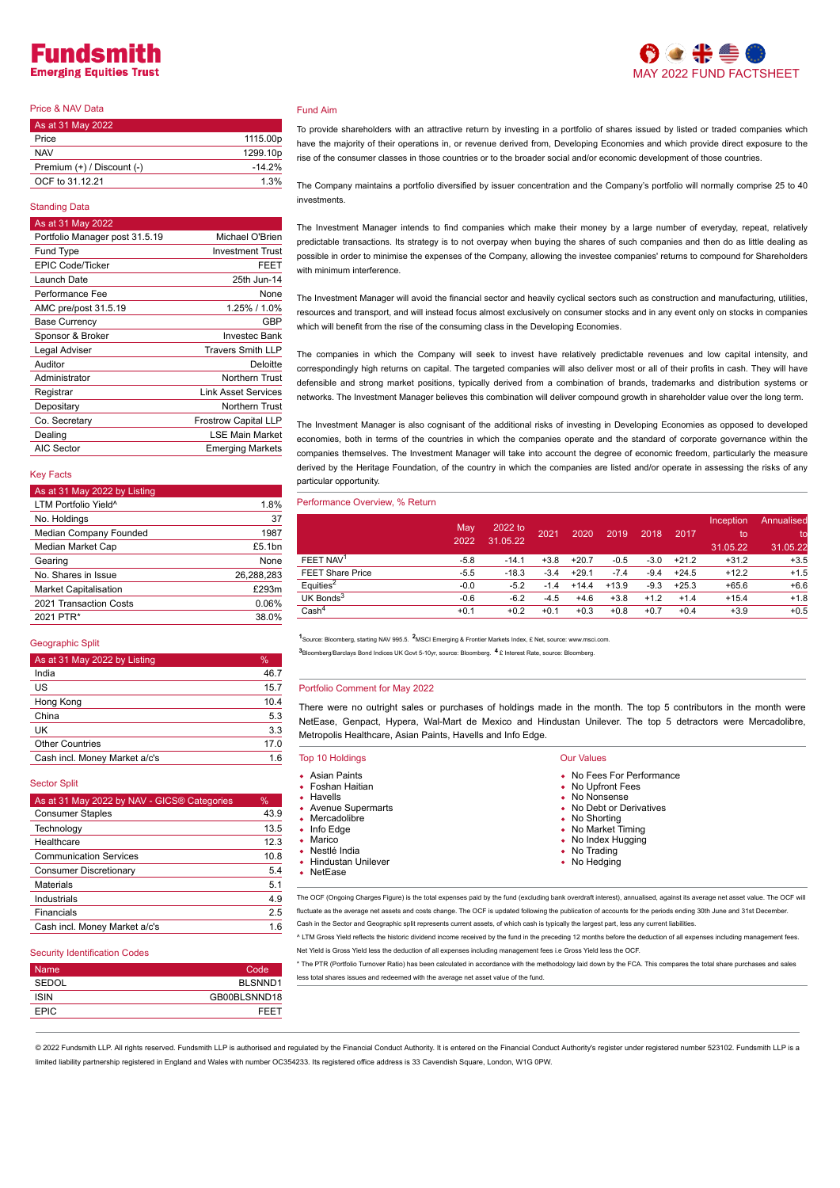# Fundsmi **Emerging Equities Trust**

# Price & NAV Data

| As at 31 May 2022          |                      |
|----------------------------|----------------------|
| Price                      | 1115.00p             |
| <b>NAV</b>                 | 1299.10 <sub>p</sub> |
| Premium (+) / Discount (-) | $-14.2%$             |
| OCF to 31.12.21            | 1.3%                 |

# Standing Data

# As at 31 May 202 Portfolio Manager post 31.5.19 Michael O'Brien Fund Type **Investment Trust** EPIC Code/Ticker **FEET** Launch Date 25th Jun-14 Performance Fee None AMC pre/post 31.5.19 1.25% / 1.0% Base Currency **GBP** Sponsor & Broker Investec Bank Legal Adviser Travers Smith LLP Auditor Deloitte Administrator **Northern** Trust Registrar Link Asset Services **Depositary** Northern Trust Co. Secretary **Frostrow Capital LLP** Dealing **LSE Main Market** AIC Sector **Emerging Markets**

## Key Facts

| As at 31 May 2022 by Listing     |      |
|----------------------------------|------|
| LTM Portfolio Yield <sup>^</sup> | 1.8% |
| No Holdings                      |      |

|                              | .          |
|------------------------------|------------|
| No. Holdings                 | 37         |
| Median Company Founded       | 1987       |
| Median Market Cap            | £5.1bn     |
| Gearing                      | None       |
| No. Shares in Issue          | 26,288,283 |
| <b>Market Capitalisation</b> | £293m      |
| 2021 Transaction Costs       | 0.06%      |
| 2021 PTR*                    | 38.0%      |

### Geographic Split

| As at 31 May 2022 by Listing  | $\frac{1}{2}$ |
|-------------------------------|---------------|
| India                         | 46.7          |
| US                            | 15.7          |
| Hong Kong                     | 10.4          |
| China                         | 5.3           |
| UK                            | 3.3           |
| <b>Other Countries</b>        | 17.0          |
| Cash incl. Money Market a/c's | 1.6           |

## Sector Split

| As at 31 May 2022 by NAV - GICS® Categories | %    |
|---------------------------------------------|------|
| <b>Consumer Staples</b>                     | 43.9 |
| Technology                                  | 13.5 |
| Healthcare                                  | 12.3 |
| <b>Communication Services</b>               | 10.8 |
| <b>Consumer Discretionary</b>               | 5.4  |
| <b>Materials</b>                            | 5.1  |
| Industrials                                 | 4.9  |
| Financials                                  | 2.5  |
| Cash incl. Money Market a/c's               | 1.6  |

#### Security Identification Codes

| <b>Name</b> | Code         |
|-------------|--------------|
| SEDOL       | BLSNND1      |
| <b>ISIN</b> | GB00BLSNND18 |
| <b>EPIC</b> | FEET         |
|             |              |

# Fund Aim

To provide shareholders with an attractive return by investing in a portfolio of shares issued by listed or traded companies which have the majority of their operations in, or revenue derived from, Developing Economies and which provide direct exposure to the rise of the consumer classes in those countries or to the broader social and/or economic development of those countries.

The Company maintains a portfolio diversified by issuer concentration and the Company's portfolio will normally comprise 25 to 40 investments.

The Investment Manager intends to find companies which make their money by a large number of everyday, repeat, relatively predictable transactions. Its strategy is to not overpay when buying the shares of such companies and then do as little dealing as possible in order to minimise the expenses of the Company, allowing the investee companies' returns to compound for Shareholders with minimum interference

The Investment Manager will avoid the financial sector and heavily cyclical sectors such as construction and manufacturing, utilities, resources and transport, and will instead focus almost exclusively on consumer stocks and in any event only on stocks in companies which will benefit from the rise of the consuming class in the Developing Economies.

The companies in which the Company will seek to invest have relatively predictable revenues and low capital intensity, and correspondingly high returns on capital. The targeted companies will also deliver most or all of their profits in cash. They will have defensible and strong market positions, typically derived from a combination of brands, trademarks and distribution systems or networks. The Investment Manager believes this combination will deliver compound growth in shareholder value over the long term.

The Investment Manager is also cognisant of the additional risks of investing in Developing Economies as opposed to developed economies, both in terms of the countries in which the companies operate and the standard of corporate governance within the companies themselves. The Investment Manager will take into account the degree of economic freedom, particularly the measure derived by the Heritage Foundation, of the country in which the companies are listed and/or operate in assessing the risks of any particular opportunity.

## Performance Overview, % Return

|                         | May<br>2022 | 2022 to<br>31.05.22 | 2021   | 2020    | 2019    | 2018   | 2017    | Inception<br>to<br>31.05.22 | Annualised<br>to<br>31.05.22 |
|-------------------------|-------------|---------------------|--------|---------|---------|--------|---------|-----------------------------|------------------------------|
| FEET NAV <sup>1</sup>   | $-5.8$      | $-14.1$             | $+3.8$ | $+20.7$ | $-0.5$  | $-3.0$ | $+21.2$ | $+31.2$                     | $+3.5$                       |
| <b>FEET Share Price</b> | $-5.5$      | $-18.3$             | $-3.4$ | $+29.1$ | $-7.4$  | $-9.4$ | $+24.5$ | $+12.2$                     | $+1.5$                       |
| Equities <sup>2</sup>   | $-0.0$      | $-5.2$              | $-1.4$ | $+14.4$ | $+13.9$ | $-9.3$ | $+25.3$ | $+65.6$                     | $+6.6$                       |
| UK Bonds $3$            | $-0.6$      | $-6.2$              | $-4.5$ | $+4.6$  | $+3.8$  | $+1.2$ | $+1.4$  | $+15.4$                     | $+1.8$                       |
| Cash <sup>4</sup>       | $+0.1$      | $+0.2$              | $+0.1$ | $+0.3$  | $+0.8$  | $+0.7$ | $+0.4$  | $+3.9$                      | $+0.5$                       |

1Source: Bloomberg, starting NAV 995.5. <sup>2</sup>MSCI Emerging & Frontier Markets Index, £ Net, source: www.msci.com.

Bloomberg/Barclays Bond Indices UK Govt 5-10yr, source: Bloomberg. £ Interest Rate, source: Bloomberg. **3 4**

#### Portfolio Comment for May 2022

There were no outright sales or purchases of holdings made in the month. The top 5 contributors in the month were NetEase, Genpact, Hypera, Wal-Mart de Mexico and Hindustan Unilever. The top 5 detractors were Mercadolibre, Metropolis Healthcare, Asian Paints, Havells and Info Edge.

| <b>Top 10 Holdings</b>                                                                                                                                                             | <b>Our Values</b>                                                                                                                                                                        |  |
|------------------------------------------------------------------------------------------------------------------------------------------------------------------------------------|------------------------------------------------------------------------------------------------------------------------------------------------------------------------------------------|--|
| • Asian Paints<br>• Foshan Haitian<br>• Havells<br>• Avenue Supermarts<br>• Mercadolibre<br>$\bullet$ Info Edge<br>• Marico<br>• Nestlé India<br>• Hindustan Unilever<br>• NetEase | • No Fees For Performance<br>• No Upfront Fees<br>• No Nonsense<br>• No Debt or Derivatives<br>• No Shorting<br>• No Market Timing<br>• No Index Hugging<br>• No Trading<br>• No Hedging |  |
|                                                                                                                                                                                    |                                                                                                                                                                                          |  |

The OCF (Ongoing Charges Figure) is the total expenses paid by the fund (excluding bank overdraft interest), annualised, against its average net asset value. The OCF will fluctuate as the average net assets and costs change. The OCF is updated following the publication of accounts for the periods ending 30th June and 31st December

Cash in the Sector and Geographic split represents current assets, of which cash is typically the largest part, less any current liabilities.

^ LTM Gross Yield reflects the historic dividend income received by the fund in the preceding 12 months before the deduction of all expenses including management fees. Net Yield is Gross Yield less the deduction of all expenses including management fees i.e Gross Yield less the OCF.

\* The PTR (Portfolio Turnover Ratio) has been calculated in accordance with the methodology laid down by the FCA. This compares the total share purchases and sales less total shares issues and redeemed with the average net asset value of the fund.

@ 2022 Fundsmith LLP. All rights reserved. Fundsmith LLP is authorised and regulated by the Financial Conduct Authority. It is entered on the Financial Conduct Authority's register under registered number 523102. Fundsmith limited liability partnership registered in England and Wales with number OC354233. Its registered office address is 33 Cavendish Square, London, W1G 0PW.